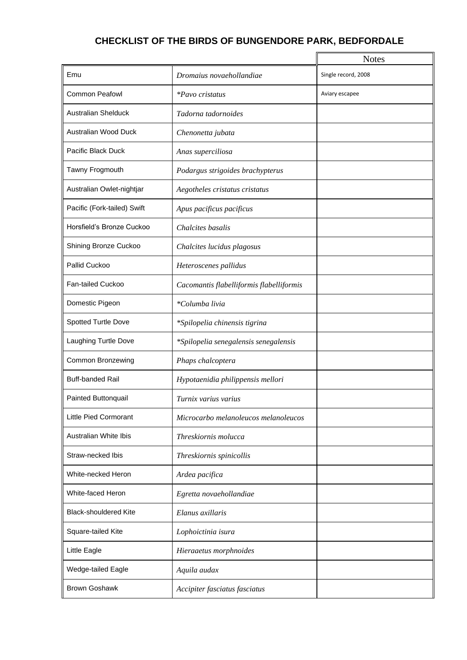## **CHECKLIST OF THE BIRDS OF BUNGENDORE PARK, BEDFORDALE**

|                              |                                          | <b>Notes</b>        |
|------------------------------|------------------------------------------|---------------------|
| Emu                          | Dromaius novaehollandiae                 | Single record, 2008 |
| <b>Common Peafowl</b>        | <i>*Pavo cristatus</i>                   | Aviary escapee      |
| <b>Australian Shelduck</b>   | Tadorna tadornoides                      |                     |
| Australian Wood Duck         | Chenonetta jubata                        |                     |
| Pacific Black Duck           | Anas superciliosa                        |                     |
| Tawny Frogmouth              | Podargus strigoides brachypterus         |                     |
| Australian Owlet-nightjar    | Aegotheles cristatus cristatus           |                     |
| Pacific (Fork-tailed) Swift  | Apus pacificus pacificus                 |                     |
| Horsfield's Bronze Cuckoo    | Chalcites basalis                        |                     |
| Shining Bronze Cuckoo        | Chalcites lucidus plagosus               |                     |
| Pallid Cuckoo                | Heteroscenes pallidus                    |                     |
| <b>Fan-tailed Cuckoo</b>     | Cacomantis flabelliformis flabelliformis |                     |
| Domestic Pigeon              | *Columba livia                           |                     |
| Spotted Turtle Dove          | *Spilopelia chinensis tigrina            |                     |
| Laughing Turtle Dove         | *Spilopelia senegalensis senegalensis    |                     |
| <b>Common Bronzewing</b>     | Phaps chalcoptera                        |                     |
| <b>Buff-banded Rail</b>      | Hypotaenidia philippensis mellori        |                     |
| Painted Buttonquail          | Turnix varius varius                     |                     |
| <b>Little Pied Cormorant</b> | Microcarbo melanoleucos melanoleucos     |                     |
| Australian White Ibis        | Threskiornis molucca                     |                     |
| Straw-necked Ibis            | Threskiornis spinicollis                 |                     |
| White-necked Heron           | Ardea pacifica                           |                     |
| White-faced Heron            | Egretta novaehollandiae                  |                     |
| <b>Black-shouldered Kite</b> | Elanus axillaris                         |                     |
| Square-tailed Kite           | Lophoictinia isura                       |                     |
| Little Eagle                 | Hieraaetus morphnoides                   |                     |
| Wedge-tailed Eagle           | Aquila audax                             |                     |
| <b>Brown Goshawk</b>         | Accipiter fasciatus fasciatus            |                     |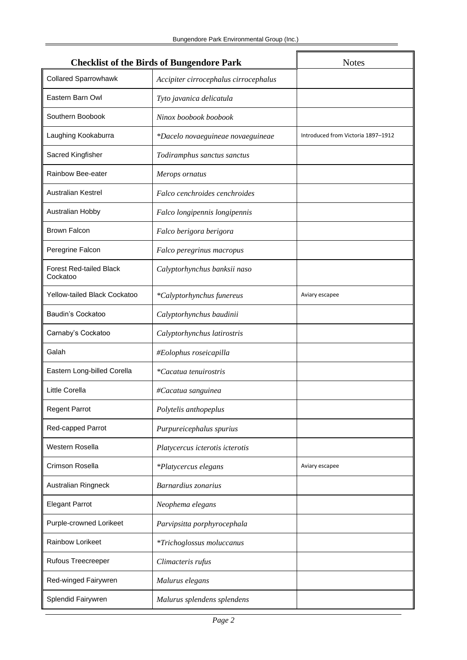| <b>Checklist of the Birds of Bungendore Park</b> |                                       | <b>Notes</b>                       |
|--------------------------------------------------|---------------------------------------|------------------------------------|
| <b>Collared Sparrowhawk</b>                      | Accipiter cirrocephalus cirrocephalus |                                    |
| Eastern Barn Owl                                 | Tyto javanica delicatula              |                                    |
| Southern Boobook                                 | Ninox boobook boobook                 |                                    |
| Laughing Kookaburra                              | *Dacelo novaeguineae novaeguineae     | Introduced from Victoria 1897-1912 |
| Sacred Kingfisher                                | Todiramphus sanctus sanctus           |                                    |
| Rainbow Bee-eater                                | Merops ornatus                        |                                    |
| <b>Australian Kestrel</b>                        | Falco cenchroides cenchroides         |                                    |
| Australian Hobby                                 | Falco longipennis longipennis         |                                    |
| <b>Brown Falcon</b>                              | Falco berigora berigora               |                                    |
| Peregrine Falcon                                 | Falco peregrinus macropus             |                                    |
| <b>Forest Red-tailed Black</b><br>Cockatoo       | Calyptorhynchus banksii naso          |                                    |
| Yellow-tailed Black Cockatoo                     | *Calyptorhynchus funereus             | Aviary escapee                     |
| Baudin's Cockatoo                                | Calyptorhynchus baudinii              |                                    |
| Carnaby's Cockatoo                               | Calyptorhynchus latirostris           |                                    |
| Galah                                            | #Eolophus roseicapilla                |                                    |
| Eastern Long-billed Corella                      | *Cacatua tenuirostris                 |                                    |
| Little Corella                                   | #Cacatua sanguinea                    |                                    |
| <b>Regent Parrot</b>                             | Polytelis anthopeplus                 |                                    |
| Red-capped Parrot                                | Purpureicephalus spurius              |                                    |
| Western Rosella                                  | Platycercus icterotis icterotis       |                                    |
| Crimson Rosella                                  | *Platycercus elegans                  | Aviary escapee                     |
| Australian Ringneck                              | Barnardius zonarius                   |                                    |
| <b>Elegant Parrot</b>                            | Neophema elegans                      |                                    |
| Purple-crowned Lorikeet                          | Parvipsitta porphyrocephala           |                                    |
| Rainbow Lorikeet                                 | *Trichoglossus moluccanus             |                                    |
| Rufous Treecreeper                               | Climacteris rufus                     |                                    |
| Red-winged Fairywren                             | Malurus elegans                       |                                    |
| Splendid Fairywren                               | Malurus splendens splendens           |                                    |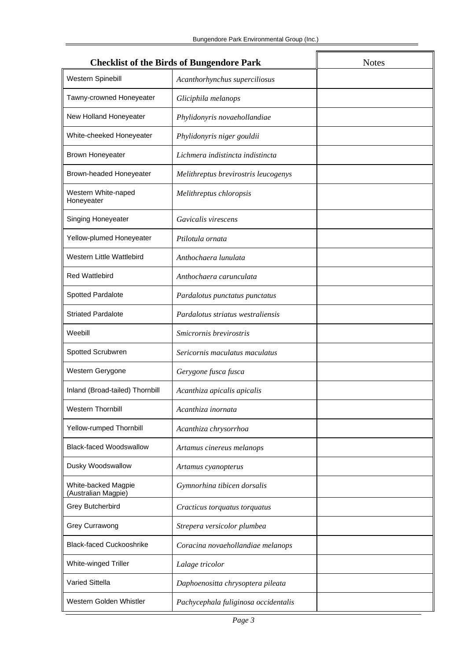| <b>Checklist of the Birds of Bungendore Park</b> |                                      | <b>Notes</b> |
|--------------------------------------------------|--------------------------------------|--------------|
| Western Spinebill                                | Acanthorhynchus superciliosus        |              |
| Tawny-crowned Honeyeater                         | Gliciphila melanops                  |              |
| New Holland Honeyeater                           | Phylidonyris novaehollandiae         |              |
| White-cheeked Honeyeater                         | Phylidonyris niger gouldii           |              |
| <b>Brown Honeyeater</b>                          | Lichmera indistincta indistincta     |              |
| Brown-headed Honeyeater                          | Melithreptus brevirostris leucogenys |              |
| Western White-naped<br>Honeyeater                | Melithreptus chloropsis              |              |
| Singing Honeyeater                               | Gavicalis virescens                  |              |
| Yellow-plumed Honeyeater                         | Ptilotula ornata                     |              |
| Western Little Wattlebird                        | Anthochaera lunulata                 |              |
| <b>Red Wattlebird</b>                            | Anthochaera carunculata              |              |
| Spotted Pardalote                                | Pardalotus punctatus punctatus       |              |
| <b>Striated Pardalote</b>                        | Pardalotus striatus westraliensis    |              |
| Weebill                                          | Smicrornis brevirostris              |              |
| Spotted Scrubwren                                | Sericornis maculatus maculatus       |              |
| Western Gerygone                                 | Gerygone fusca fusca                 |              |
| Inland (Broad-tailed) Thornbill                  | Acanthiza apicalis apicalis          |              |
| <b>Western Thornbill</b>                         | Acanthiza inornata                   |              |
| Yellow-rumped Thornbill                          | Acanthiza chrysorrhoa                |              |
| <b>Black-faced Woodswallow</b>                   | Artamus cinereus melanops            |              |
| Dusky Woodswallow                                | Artamus cyanopterus                  |              |
| White-backed Magpie<br>(Australian Magpie)       | Gymnorhina tibicen dorsalis          |              |
| <b>Grey Butcherbird</b>                          | Cracticus torquatus torquatus        |              |
| Grey Currawong                                   | Strepera versicolor plumbea          |              |
| <b>Black-faced Cuckooshrike</b>                  | Coracina novaehollandiae melanops    |              |
| White-winged Triller                             | Lalage tricolor                      |              |
| Varied Sittella                                  | Daphoenositta chrysoptera pileata    |              |
| Western Golden Whistler                          | Pachycephala fuliginosa occidentalis |              |